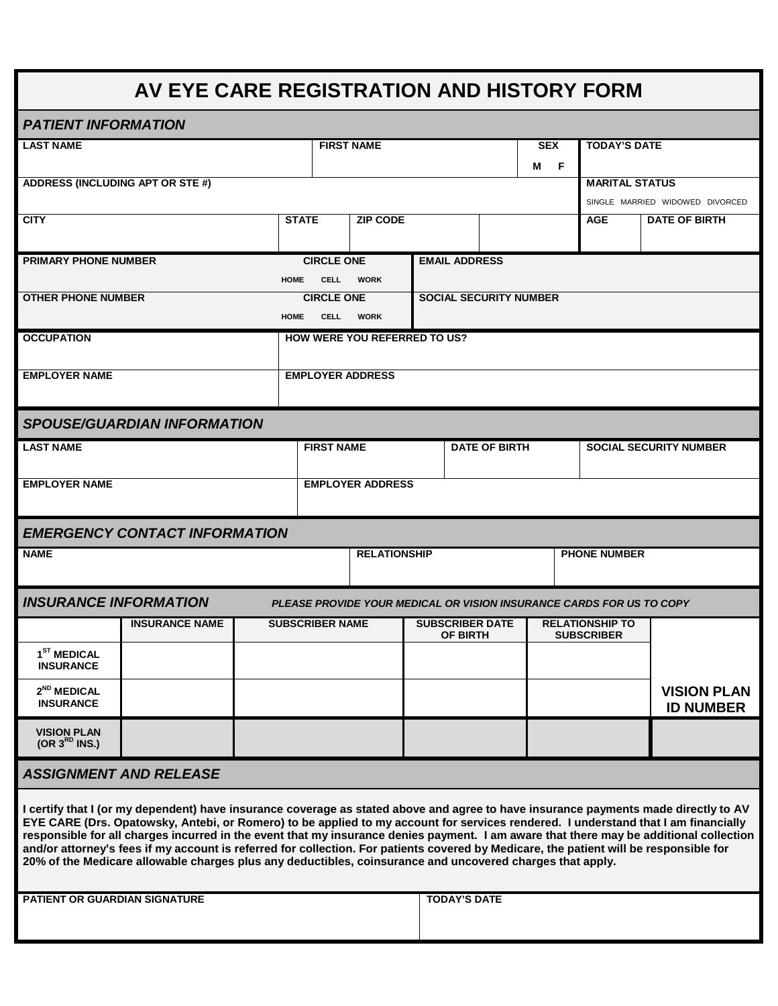## **AV EYE CARE REGISTRATION AND HISTORY FORM**

| <b>PATIENT INFORMATION</b>                                                                                                                                                                                                                                                                                                                                                                                                                                                                                                                                                                                                                                                 |                                      |                   |                                     |                         |  |                               |                      |   |                        |                                                                      |                    |  |  |  |
|----------------------------------------------------------------------------------------------------------------------------------------------------------------------------------------------------------------------------------------------------------------------------------------------------------------------------------------------------------------------------------------------------------------------------------------------------------------------------------------------------------------------------------------------------------------------------------------------------------------------------------------------------------------------------|--------------------------------------|-------------------|-------------------------------------|-------------------------|--|-------------------------------|----------------------|---|------------------------|----------------------------------------------------------------------|--------------------|--|--|--|
| <b>LAST NAME</b>                                                                                                                                                                                                                                                                                                                                                                                                                                                                                                                                                                                                                                                           |                                      | <b>FIRST NAME</b> |                                     |                         |  |                               | <b>SEX</b>           |   | <b>TODAY'S DATE</b>    |                                                                      |                    |  |  |  |
|                                                                                                                                                                                                                                                                                                                                                                                                                                                                                                                                                                                                                                                                            |                                      |                   |                                     |                         |  |                               |                      | М | F                      |                                                                      |                    |  |  |  |
| ADDRESS (INCLUDING APT OR STE #)                                                                                                                                                                                                                                                                                                                                                                                                                                                                                                                                                                                                                                           |                                      |                   |                                     |                         |  |                               |                      |   |                        | <b>MARITAL STATUS</b>                                                |                    |  |  |  |
|                                                                                                                                                                                                                                                                                                                                                                                                                                                                                                                                                                                                                                                                            |                                      |                   |                                     |                         |  |                               |                      |   |                        | SINGLE MARRIED WIDOWED DIVORCED                                      |                    |  |  |  |
| <b>CITY</b>                                                                                                                                                                                                                                                                                                                                                                                                                                                                                                                                                                                                                                                                |                                      |                   | <b>STATE</b>                        | <b>ZIP CODE</b>         |  |                               |                      |   |                        | <b>AGE</b><br><b>DATE OF BIRTH</b>                                   |                    |  |  |  |
|                                                                                                                                                                                                                                                                                                                                                                                                                                                                                                                                                                                                                                                                            |                                      |                   |                                     |                         |  |                               |                      |   |                        |                                                                      |                    |  |  |  |
| <b>PRIMARY PHONE NUMBER</b>                                                                                                                                                                                                                                                                                                                                                                                                                                                                                                                                                                                                                                                |                                      |                   | <b>CIRCLE ONE</b>                   |                         |  | <b>EMAIL ADDRESS</b>          |                      |   |                        |                                                                      |                    |  |  |  |
|                                                                                                                                                                                                                                                                                                                                                                                                                                                                                                                                                                                                                                                                            |                                      | HOME              | <b>CELL</b>                         | <b>WORK</b>             |  |                               |                      |   |                        |                                                                      |                    |  |  |  |
| <b>OTHER PHONE NUMBER</b>                                                                                                                                                                                                                                                                                                                                                                                                                                                                                                                                                                                                                                                  |                                      |                   | <b>CIRCLE ONE</b>                   |                         |  | <b>SOCIAL SECURITY NUMBER</b> |                      |   |                        |                                                                      |                    |  |  |  |
|                                                                                                                                                                                                                                                                                                                                                                                                                                                                                                                                                                                                                                                                            |                                      | <b>HOME</b>       | <b>CELL</b>                         | <b>WORK</b>             |  |                               |                      |   |                        |                                                                      |                    |  |  |  |
| <b>OCCUPATION</b>                                                                                                                                                                                                                                                                                                                                                                                                                                                                                                                                                                                                                                                          |                                      |                   | <b>HOW WERE YOU REFERRED TO US?</b> |                         |  |                               |                      |   |                        |                                                                      |                    |  |  |  |
|                                                                                                                                                                                                                                                                                                                                                                                                                                                                                                                                                                                                                                                                            |                                      |                   |                                     |                         |  |                               |                      |   |                        |                                                                      |                    |  |  |  |
| <b>EMPLOYER NAME</b>                                                                                                                                                                                                                                                                                                                                                                                                                                                                                                                                                                                                                                                       |                                      |                   |                                     | <b>EMPLOYER ADDRESS</b> |  |                               |                      |   |                        |                                                                      |                    |  |  |  |
|                                                                                                                                                                                                                                                                                                                                                                                                                                                                                                                                                                                                                                                                            |                                      |                   |                                     |                         |  |                               |                      |   |                        |                                                                      |                    |  |  |  |
|                                                                                                                                                                                                                                                                                                                                                                                                                                                                                                                                                                                                                                                                            | <b>SPOUSE/GUARDIAN INFORMATION</b>   |                   |                                     |                         |  |                               |                      |   |                        |                                                                      |                    |  |  |  |
| <b>LAST NAME</b>                                                                                                                                                                                                                                                                                                                                                                                                                                                                                                                                                                                                                                                           |                                      |                   | <b>FIRST NAME</b>                   |                         |  |                               | <b>DATE OF BIRTH</b> |   |                        | <b>SOCIAL SECURITY NUMBER</b>                                        |                    |  |  |  |
|                                                                                                                                                                                                                                                                                                                                                                                                                                                                                                                                                                                                                                                                            |                                      |                   |                                     |                         |  |                               |                      |   |                        |                                                                      |                    |  |  |  |
| <b>EMPLOYER NAME</b>                                                                                                                                                                                                                                                                                                                                                                                                                                                                                                                                                                                                                                                       |                                      |                   | <b>EMPLOYER ADDRESS</b>             |                         |  |                               |                      |   |                        |                                                                      |                    |  |  |  |
|                                                                                                                                                                                                                                                                                                                                                                                                                                                                                                                                                                                                                                                                            |                                      |                   |                                     |                         |  |                               |                      |   |                        |                                                                      |                    |  |  |  |
|                                                                                                                                                                                                                                                                                                                                                                                                                                                                                                                                                                                                                                                                            | <b>EMERGENCY CONTACT INFORMATION</b> |                   |                                     |                         |  |                               |                      |   |                        |                                                                      |                    |  |  |  |
| <b>NAME</b>                                                                                                                                                                                                                                                                                                                                                                                                                                                                                                                                                                                                                                                                |                                      |                   |                                     | <b>RELATIONSHIP</b>     |  |                               |                      |   |                        | <b>PHONE NUMBER</b>                                                  |                    |  |  |  |
|                                                                                                                                                                                                                                                                                                                                                                                                                                                                                                                                                                                                                                                                            |                                      |                   |                                     |                         |  |                               |                      |   |                        |                                                                      |                    |  |  |  |
| <b>INSURANCE INFORMATION</b>                                                                                                                                                                                                                                                                                                                                                                                                                                                                                                                                                                                                                                               |                                      |                   |                                     |                         |  |                               |                      |   |                        | PLEASE PROVIDE YOUR MEDICAL OR VISION INSURANCE CARDS FOR US TO COPY |                    |  |  |  |
|                                                                                                                                                                                                                                                                                                                                                                                                                                                                                                                                                                                                                                                                            | <b>INSURANCE NAME</b>                |                   | <b>SUBSCRIBER NAME</b>              |                         |  | <b>SUBSCRIBER DATE</b>        |                      |   | <b>RELATIONSHIP TO</b> |                                                                      |                    |  |  |  |
|                                                                                                                                                                                                                                                                                                                                                                                                                                                                                                                                                                                                                                                                            |                                      |                   |                                     |                         |  | <b>OF BIRTH</b>               |                      |   |                        | <b>SUBSCRIBER</b>                                                    |                    |  |  |  |
| 1 <sup>ST</sup> MEDICAL<br><b>INSURANCE</b>                                                                                                                                                                                                                                                                                                                                                                                                                                                                                                                                                                                                                                |                                      |                   |                                     |                         |  |                               |                      |   |                        |                                                                      |                    |  |  |  |
|                                                                                                                                                                                                                                                                                                                                                                                                                                                                                                                                                                                                                                                                            |                                      |                   |                                     |                         |  |                               |                      |   |                        |                                                                      |                    |  |  |  |
| $2^{ND}$ MEDICAL<br><b>INSURANCE</b>                                                                                                                                                                                                                                                                                                                                                                                                                                                                                                                                                                                                                                       |                                      |                   |                                     |                         |  |                               |                      |   |                        |                                                                      | <b>VISION PLAN</b> |  |  |  |
|                                                                                                                                                                                                                                                                                                                                                                                                                                                                                                                                                                                                                                                                            |                                      |                   |                                     |                         |  |                               |                      |   |                        |                                                                      | <b>ID NUMBER</b>   |  |  |  |
| <b>VISION PLAN</b><br>(OR 3 <sup>RD</sup> INS.)                                                                                                                                                                                                                                                                                                                                                                                                                                                                                                                                                                                                                            |                                      |                   |                                     |                         |  |                               |                      |   |                        |                                                                      |                    |  |  |  |
|                                                                                                                                                                                                                                                                                                                                                                                                                                                                                                                                                                                                                                                                            |                                      |                   |                                     |                         |  |                               |                      |   |                        |                                                                      |                    |  |  |  |
| <b>ASSIGNMENT AND RELEASE</b>                                                                                                                                                                                                                                                                                                                                                                                                                                                                                                                                                                                                                                              |                                      |                   |                                     |                         |  |                               |                      |   |                        |                                                                      |                    |  |  |  |
| I certify that I (or my dependent) have insurance coverage as stated above and agree to have insurance payments made directly to AV<br>EYE CARE (Drs. Opatowsky, Antebi, or Romero) to be applied to my account for services rendered. I understand that I am financially<br>responsible for all charges incurred in the event that my insurance denies payment. I am aware that there may be additional collection<br>and/or attorney's fees if my account is referred for collection. For patients covered by Medicare, the patient will be responsible for<br>20% of the Medicare allowable charges plus any deductibles, coinsurance and uncovered charges that apply. |                                      |                   |                                     |                         |  |                               |                      |   |                        |                                                                      |                    |  |  |  |
| PATIENT OR GUARDIAN SIGNATURE                                                                                                                                                                                                                                                                                                                                                                                                                                                                                                                                                                                                                                              |                                      |                   |                                     |                         |  | <b>TODAY'S DATE</b>           |                      |   |                        |                                                                      |                    |  |  |  |
|                                                                                                                                                                                                                                                                                                                                                                                                                                                                                                                                                                                                                                                                            |                                      |                   |                                     |                         |  |                               |                      |   |                        |                                                                      |                    |  |  |  |